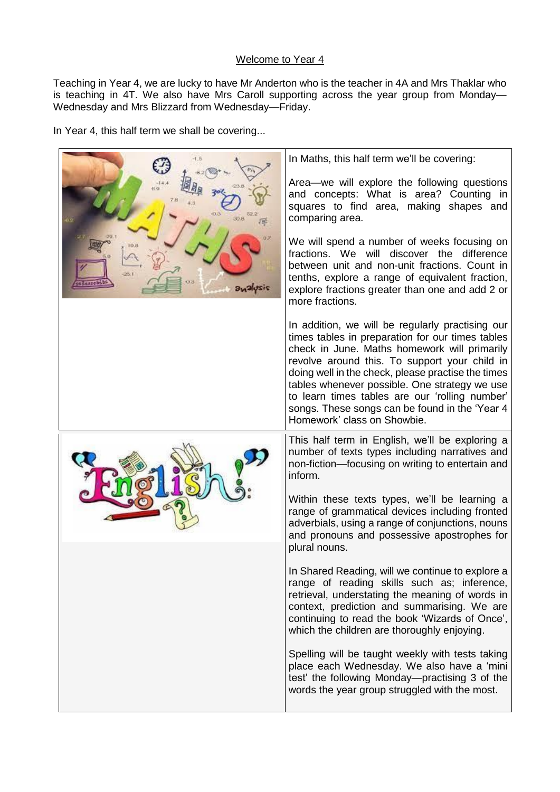## Welcome to Year 4

Teaching in Year 4, we are lucky to have Mr Anderton who is the teacher in 4A and Mrs Thaklar who is teaching in 4T. We also have Mrs Caroll supporting across the year group from Monday— Wednesday and Mrs Blizzard from Wednesday—Friday.

In Year 4, this half term we shall be covering...

|         | In Maths, this half term we'll be covering:                                                                                                                                                                                                                                                                                                                                                                                                     |
|---------|-------------------------------------------------------------------------------------------------------------------------------------------------------------------------------------------------------------------------------------------------------------------------------------------------------------------------------------------------------------------------------------------------------------------------------------------------|
|         | Area—we will explore the following questions<br>and concepts: What is area? Counting in<br>squares to find area, making shapes and<br>comparing area.                                                                                                                                                                                                                                                                                           |
| zizulen | We will spend a number of weeks focusing on<br>fractions. We will discover the difference<br>between unit and non-unit fractions. Count in<br>tenths, explore a range of equivalent fraction,<br>explore fractions greater than one and add 2 or<br>more fractions.                                                                                                                                                                             |
|         | In addition, we will be regularly practising our<br>times tables in preparation for our times tables<br>check in June. Maths homework will primarily<br>revolve around this. To support your child in<br>doing well in the check, please practise the times<br>tables whenever possible. One strategy we use<br>to learn times tables are our 'rolling number'<br>songs. These songs can be found in the 'Year 4<br>Homework' class on Showbie. |
|         | This half term in English, we'll be exploring a<br>number of texts types including narratives and<br>non-fiction-focusing on writing to entertain and<br>inform.                                                                                                                                                                                                                                                                                |
|         | Within these texts types, we'll be learning a<br>range of grammatical devices including fronted<br>adverbials, using a range of conjunctions, nouns<br>and pronouns and possessive apostrophes for<br>plural nouns.                                                                                                                                                                                                                             |
|         | In Shared Reading, will we continue to explore a<br>range of reading skills such as; inference,<br>retrieval, understating the meaning of words in<br>context, prediction and summarising. We are<br>continuing to read the book 'Wizards of Once',<br>which the children are thoroughly enjoying.                                                                                                                                              |
|         | Spelling will be taught weekly with tests taking<br>place each Wednesday. We also have a 'mini<br>test' the following Monday—practising 3 of the<br>words the year group struggled with the most.                                                                                                                                                                                                                                               |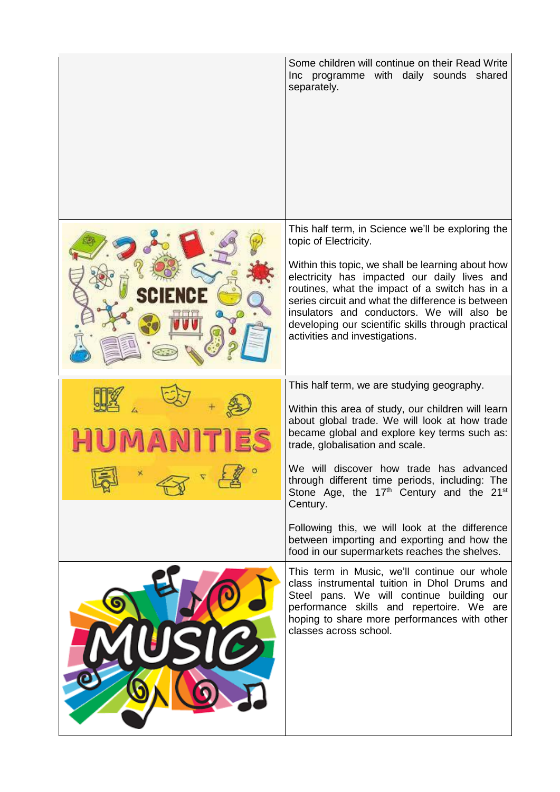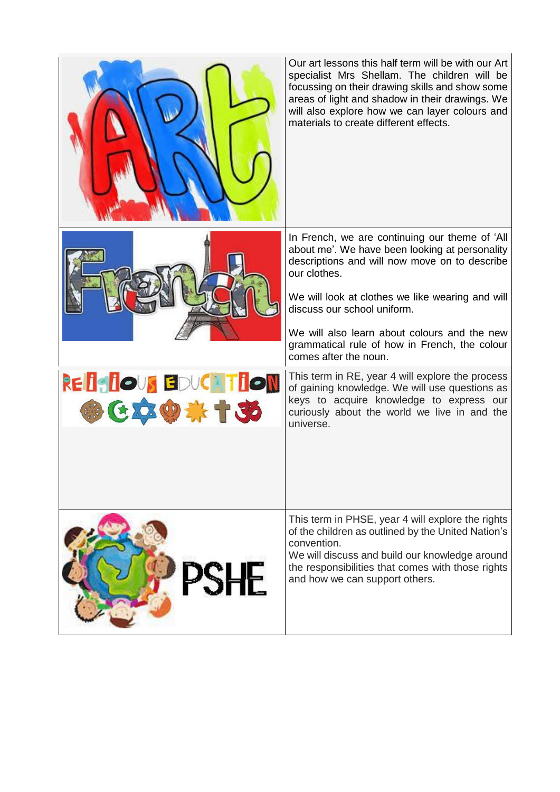|                               | Our art lessons this half term will be with our Art<br>specialist Mrs Shellam. The children will be<br>focussing on their drawing skills and show some<br>areas of light and shadow in their drawings. We<br>will also explore how we can layer colours and<br>materials to create different effects.                                                                          |
|-------------------------------|--------------------------------------------------------------------------------------------------------------------------------------------------------------------------------------------------------------------------------------------------------------------------------------------------------------------------------------------------------------------------------|
|                               | In French, we are continuing our theme of 'All<br>about me'. We have been looking at personality<br>descriptions and will now move on to describe<br>our clothes.<br>We will look at clothes we like wearing and will<br>discuss our school uniform.<br>We will also learn about colours and the new<br>grammatical rule of how in French, the colour<br>comes after the noun. |
| REISIOUS EDUCATION<br>参区交易综十英 | This term in RE, year 4 will explore the process<br>of gaining knowledge. We will use questions as<br>keys to acquire knowledge to express our<br>curiously about the world we live in and the<br>universe.                                                                                                                                                                    |
|                               | This term in PHSE, year 4 will explore the rights<br>of the children as outlined by the United Nation's<br>convention.<br>We will discuss and build our knowledge around<br>the responsibilities that comes with those rights<br>and how we can support others.                                                                                                                |